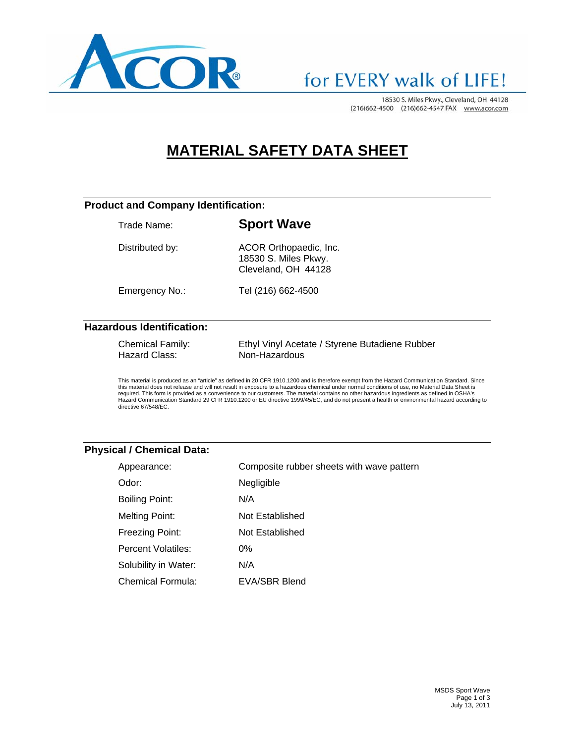

### for EVERY walk of LIFE!

18530 S. Miles Pkwy., Cleveland, OH 44128 (216)662-4500 (216)662-4547 FAX www.acor.com

### **MATERIAL SAFETY DATA SHEET**

#### **Product and Company Identification:**

Trade Name: **Sport Wave** 

Distributed by: ACOR Orthopaedic, Inc. 18530 S. Miles Pkwy.

Cleveland, OH 44128

Emergency No.: Tel (216) 662-4500

#### **Hazardous Identification:**

| <b>Chemical Family:</b> | Ethyl Vinyl Acetate / Styrene Butadiene Rubber |
|-------------------------|------------------------------------------------|
| Hazard Class:           | Non-Hazardous                                  |

This material is produced as an "article" as defined in 20 CFR 1910.1200 and is therefore exempt from the Hazard Communication Standard. Since<br>this material does not release and will not result in exposure to a hazardous c required. This form is provided as a convenience to our customers. The material contains no other hazardous ingredients as defined in OSHA's Hazard Communication Standard 29 CFR 1910.1200 or EU directive 1999/45/EC, and do not present a health or environmental hazard according to directive 67/548/EC.

#### **Physical / Chemical Data:**

| Appearance:           | Composite rubber sheets with wave pattern |
|-----------------------|-------------------------------------------|
| Odor:                 | Negligible                                |
| <b>Boiling Point:</b> | N/A                                       |
| <b>Melting Point:</b> | Not Established                           |
| Freezing Point:       | Not Established                           |
| Percent Volatiles:    | $0\%$                                     |
| Solubility in Water:  | N/A                                       |
| Chemical Formula:     | EVA/SBR Blend                             |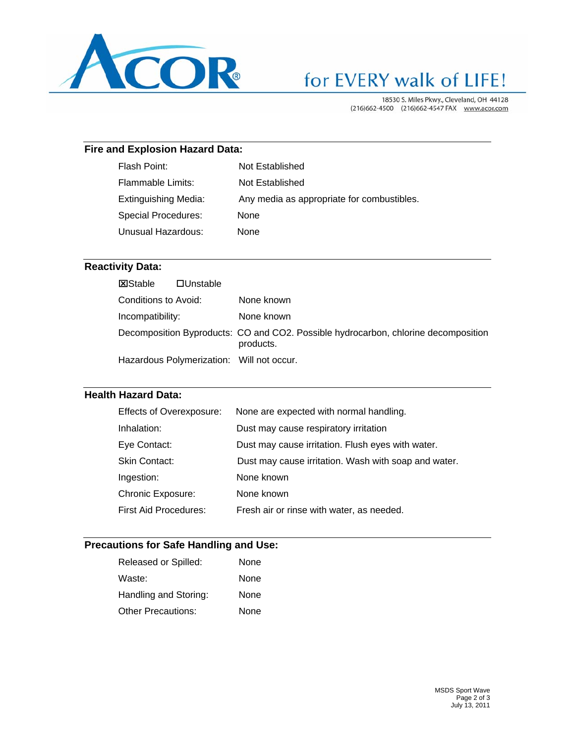

# for EVERY walk of LIFE!

18530 S. Miles Pkwy., Cleveland, OH 44128 (216)662-4500 (216)662-4547 FAX www.acor.com

#### **Fire and Explosion Hazard Data:**

| Flash Point:                | Not Established                            |
|-----------------------------|--------------------------------------------|
| Flammable Limits:           | Not Established                            |
| <b>Extinguishing Media:</b> | Any media as appropriate for combustibles. |
| Special Procedures:         | <b>None</b>                                |
| Unusual Hazardous:          | None                                       |
|                             |                                            |

#### **Reactivity Data:**

| <b>X</b> Stable      | $\Box$ Unstable |                                                                                                 |
|----------------------|-----------------|-------------------------------------------------------------------------------------------------|
| Conditions to Avoid: |                 | None known                                                                                      |
| Incompatibility:     |                 | None known                                                                                      |
|                      |                 | Decomposition Byproducts: CO and CO2. Possible hydrocarbon, chlorine decomposition<br>products. |
|                      |                 | Hazardous Polymerization: Will not occur.                                                       |

#### **Health Hazard Data:**

| <b>Effects of Overexposure:</b> | None are expected with normal handling.              |
|---------------------------------|------------------------------------------------------|
| Inhalation:                     | Dust may cause respiratory irritation                |
| Eye Contact:                    | Dust may cause irritation. Flush eyes with water.    |
| Skin Contact:                   | Dust may cause irritation. Wash with soap and water. |
| Ingestion:                      | None known                                           |
| <b>Chronic Exposure:</b>        | None known                                           |
| <b>First Aid Procedures:</b>    | Fresh air or rinse with water, as needed.            |

#### **Precautions for Safe Handling and Use:**

| Released or Spilled:      | None |
|---------------------------|------|
| Waste:                    | None |
| Handling and Storing:     | None |
| <b>Other Precautions:</b> | None |